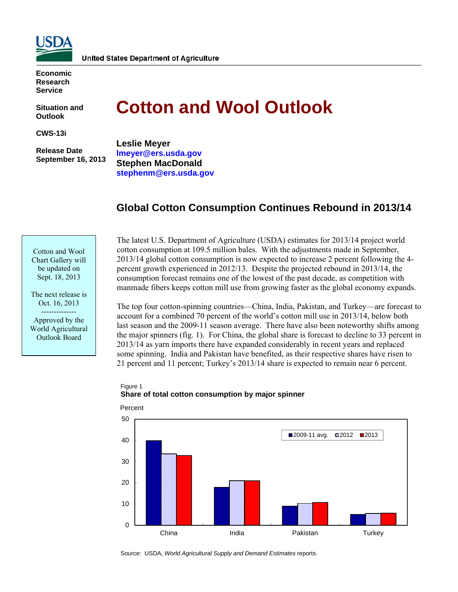

**Economic Research Service** 

**Situation and Outlook** 

**CWS-13i** 

 **Release Date September 16, 2013** 

# **Cotton and Wool Outlook**

**Leslie Meyer [lmeyer@ers.usda.gov](mailto:lmeyers@ers.usda.gov)  Stephen MacDonald [stephenm@ers.usda.gov](mailto:stephenm@ers.usda.gov)** 

# **Global Cotton Consumption Continues Rebound in 2013/14**

Cotton and Wool Chart Gallery will be updated on Sept. 18, 2013

The next release is Oct. 16, 2013 -------------- Approved by the World Agricultural Outlook Board

The latest U.S. Department of Agriculture (USDA) estimates for 2013/14 project world cotton consumption at 109.5 million bales. With the adjustments made in September, 2013/14 global cotton consumption is now expected to increase 2 percent following the 4 percent growth experienced in 2012/13. Despite the projected rebound in 2013/14, the consumption forecast remains one of the lowest of the past decade, as competition with manmade fibers keeps cotton mill use from growing faster as the global economy expands.

The top four cotton-spinning countries—China, India, Pakistan, and Turkey—are forecast to account for a combined 70 percent of the world's cotton mill use in 2013/14, below both last season and the 2009-11 season average. There have also been noteworthy shifts among the major spinners (fig. 1). For China, the global share is forecast to decline to 33 percent in 2013/14 as yarn imports there have expanded considerably in recent years and replaced some spinning. India and Pakistan have benefited, as their respective shares have risen to 21 percent and 11 percent; Turkey's 2013/14 share is expected to remain near 6 percent.

#### Figure 1 **Share of total cotton consumption by major spinner**



Source: USDA, *World Agricultural Supply and Demand Estimates* reports.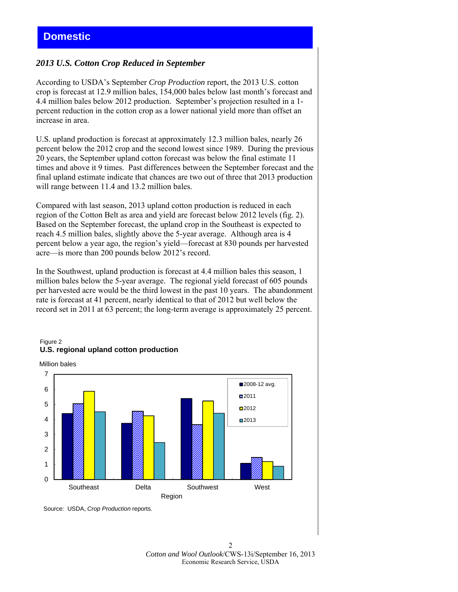## *2013 U.S. Cotton Crop Reduced in September*

According to USDA's September *Crop Production* report, the 2013 U.S. cotton crop is forecast at 12.9 million bales, 154,000 bales below last month's forecast and 4.4 million bales below 2012 production. September's projection resulted in a 1 percent reduction in the cotton crop as a lower national yield more than offset an increase in area.

U.S. upland production is forecast at approximately 12.3 million bales, nearly 26 percent below the 2012 crop and the second lowest since 1989. During the previous 20 years, the September upland cotton forecast was below the final estimate 11 times and above it 9 times. Past differences between the September forecast and the final upland estimate indicate that chances are two out of three that 2013 production will range between 11.4 and 13.2 million bales.

Compared with last season, 2013 upland cotton production is reduced in each region of the Cotton Belt as area and yield are forecast below 2012 levels (fig. 2). Based on the September forecast, the upland crop in the Southeast is expected to reach 4.5 million bales, slightly above the 5-year average. Although area is 4 percent below a year ago, the region's yield—forecast at 830 pounds per harvested acre—is more than 200 pounds below 2012's record.

In the Southwest, upland production is forecast at 4.4 million bales this season, 1 million bales below the 5-year average. The regional yield forecast of 605 pounds per harvested acre would be the third lowest in the past 10 years. The abandonment rate is forecast at 41 percent, nearly identical to that of 2012 but well below the record set in 2011 at 63 percent; the long-term average is approximately 25 percent.



#### Figure 2 **U.S. regional upland cotton production**

Source: USDA, *Crop Production* reports.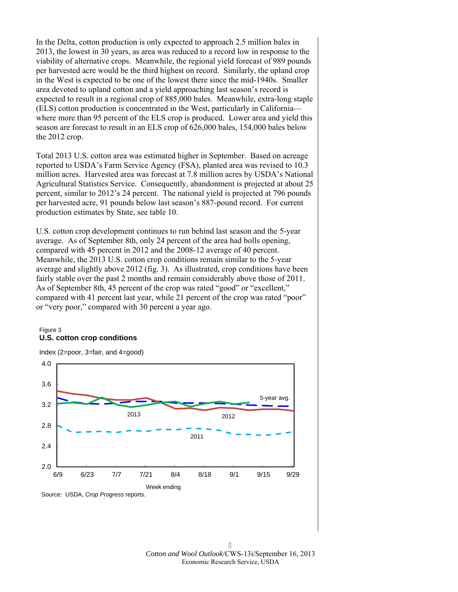In the Delta, cotton production is only expected to approach 2.5 million bales in 2013, the lowest in 30 years, as area was reduced to a record low in response to the viability of alternative crops. Meanwhile, the regional yield forecast of 989 pounds per harvested acre would be the third highest on record. Similarly, the upland crop in the West is expected to be one of the lowest there since the mid-1940s. Smaller area devoted to upland cotton and a yield approaching last season's record is expected to result in a regional crop of 885,000 bales. Meanwhile, extra-long staple (ELS) cotton production is concentrated in the West, particularly in California where more than 95 percent of the ELS crop is produced. Lower area and yield this season are forecast to result in an ELS crop of 626,000 bales, 154,000 bales below the 2012 crop.

Total 2013 U.S. cotton area was estimated higher in September. Based on acreage reported to USDA's Farm Service Agency (FSA), planted area was revised to 10.3 million acres. Harvested area was forecast at 7.8 million acres by USDA's National Agricultural Statistics Service. Consequently, abandonment is projected at about 25 percent, similar to 2012's 24 percent. The national yield is projected at 796 pounds per harvested acre, 91 pounds below last season's 887-pound record. For current production estimates by State, see table 10.

U.S. cotton crop development continues to run behind last season and the 5-year average. As of September 8th, only 24 percent of the area had bolls opening, compared with 45 percent in 2012 and the 2008-12 average of 40 percent. Meanwhile, the 2013 U.S. cotton crop conditions remain similar to the 5-year average and slightly above 2012 (fig. 3). As illustrated, crop conditions have been fairly stable over the past 2 months and remain considerably above those of 2011. As of September 8th, 45 percent of the crop was rated "good" or "excellent," compared with 41 percent last year, while 21 percent of the crop was rated "poor" or "very poor," compared with 30 percent a year ago.

#### Figure 3 **U.S. cotton crop conditions**

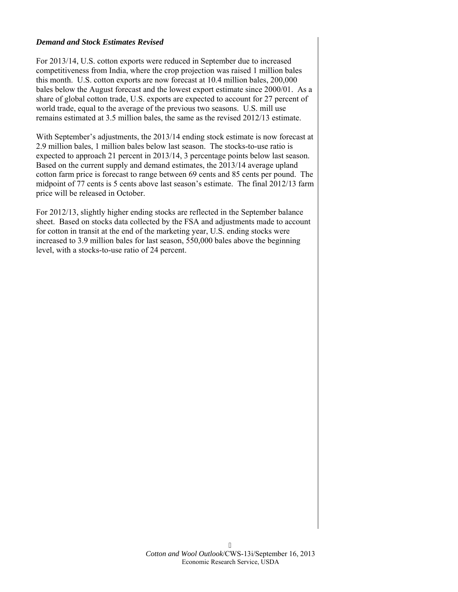#### *Demand and Stock Estimates Revised*

For 2013/14, U.S. cotton exports were reduced in September due to increased competitiveness from India, where the crop projection was raised 1 million bales this month. U.S. cotton exports are now forecast at 10.4 million bales, 200,000 bales below the August forecast and the lowest export estimate since 2000/01. As a share of global cotton trade, U.S. exports are expected to account for 27 percent of world trade, equal to the average of the previous two seasons. U.S. mill use remains estimated at 3.5 million bales, the same as the revised 2012/13 estimate.

With September's adjustments, the 2013/14 ending stock estimate is now forecast at 2.9 million bales, 1 million bales below last season. The stocks-to-use ratio is expected to approach 21 percent in 2013/14, 3 percentage points below last season. Based on the current supply and demand estimates, the 2013/14 average upland cotton farm price is forecast to range between 69 cents and 85 cents per pound. The midpoint of 77 cents is 5 cents above last season's estimate. The final 2012/13 farm price will be released in October.

For 2012/13, slightly higher ending stocks are reflected in the September balance sheet. Based on stocks data collected by the FSA and adjustments made to account for cotton in transit at the end of the marketing year, U.S. ending stocks were increased to 3.9 million bales for last season, 550,000 bales above the beginning level, with a stocks-to-use ratio of 24 percent.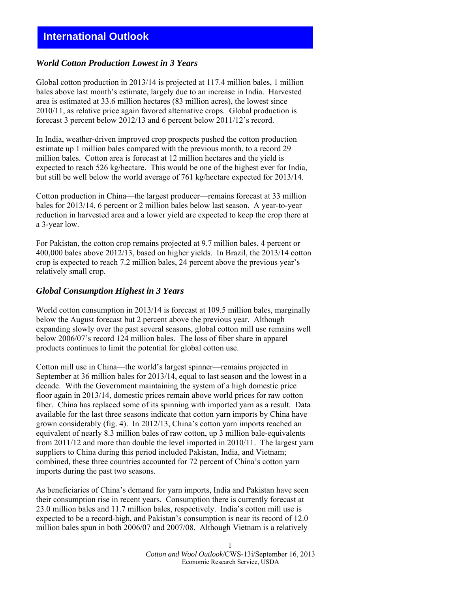# **International Outlook**

#### *World Cotton Production Lowest in 3 Years*

Global cotton production in 2013/14 is projected at 117.4 million bales, 1 million bales above last month's estimate, largely due to an increase in India. Harvested area is estimated at 33.6 million hectares (83 million acres), the lowest since 2010/11, as relative price again favored alternative crops. Global production is forecast 3 percent below 2012/13 and 6 percent below 2011/12's record.

In India, weather-driven improved crop prospects pushed the cotton production estimate up 1 million bales compared with the previous month, to a record 29 million bales. Cotton area is forecast at 12 million hectares and the yield is expected to reach 526 kg/hectare. This would be one of the highest ever for India, but still be well below the world average of 761 kg/hectare expected for 2013/14.

Cotton production in China—the largest producer—remains forecast at 33 million bales for 2013/14, 6 percent or 2 million bales below last season. A year-to-year reduction in harvested area and a lower yield are expected to keep the crop there at a 3-year low.

For Pakistan, the cotton crop remains projected at 9.7 million bales, 4 percent or 400,000 bales above 2012/13, based on higher yields. In Brazil, the 2013/14 cotton crop is expected to reach 7.2 million bales, 24 percent above the previous year's relatively small crop.

#### *Global Consumption Highest in 3 Years*

World cotton consumption in 2013/14 is forecast at 109.5 million bales, marginally below the August forecast but 2 percent above the previous year. Although expanding slowly over the past several seasons, global cotton mill use remains well below 2006/07's record 124 million bales. The loss of fiber share in apparel products continues to limit the potential for global cotton use.

Cotton mill use in China—the world's largest spinner—remains projected in September at 36 million bales for 2013/14, equal to last season and the lowest in a decade. With the Government maintaining the system of a high domestic price floor again in 2013/14, domestic prices remain above world prices for raw cotton fiber. China has replaced some of its spinning with imported yarn as a result. Data available for the last three seasons indicate that cotton yarn imports by China have grown considerably (fig. 4). In 2012/13, China's cotton yarn imports reached an equivalent of nearly 8.3 million bales of raw cotton, up 3 million bale-equivalents from 2011/12 and more than double the level imported in 2010/11. The largest yarn suppliers to China during this period included Pakistan, India, and Vietnam; combined, these three countries accounted for 72 percent of China's cotton yarn imports during the past two seasons.

As beneficiaries of China's demand for yarn imports, India and Pakistan have seen their consumption rise in recent years. Consumption there is currently forecast at 23.0 million bales and 11.7 million bales, respectively. India's cotton mill use is expected to be a record-high, and Pakistan's consumption is near its record of 12.0 million bales spun in both 2006/07 and 2007/08. Although Vietnam is a relatively

> *Cotton and Wool Outlook*/CWS-13i/September 16, 2013 Economic Research Service, USDA

7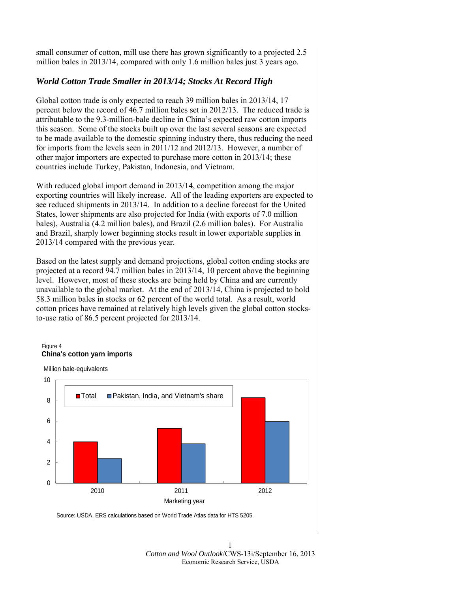small consumer of cotton, mill use there has grown significantly to a projected 2.5 million bales in 2013/14, compared with only 1.6 million bales just 3 years ago.

## *World Cotton Trade Smaller in 2013/14; Stocks At Record High*

Global cotton trade is only expected to reach 39 million bales in 2013/14, 17 percent below the record of 46.7 million bales set in 2012/13. The reduced trade is attributable to the 9.3-million-bale decline in China's expected raw cotton imports this season. Some of the stocks built up over the last several seasons are expected to be made available to the domestic spinning industry there, thus reducing the need for imports from the levels seen in 2011/12 and 2012/13. However, a number of other major importers are expected to purchase more cotton in 2013/14; these countries include Turkey, Pakistan, Indonesia, and Vietnam.

With reduced global import demand in 2013/14, competition among the major exporting countries will likely increase. All of the leading exporters are expected to see reduced shipments in 2013/14. In addition to a decline forecast for the United States, lower shipments are also projected for India (with exports of 7.0 million bales), Australia (4.2 million bales), and Brazil (2.6 million bales). For Australia and Brazil, sharply lower beginning stocks result in lower exportable supplies in 2013/14 compared with the previous year.

Based on the latest supply and demand projections, global cotton ending stocks are projected at a record 94.7 million bales in 2013/14, 10 percent above the beginning level. However, most of these stocks are being held by China and are currently unavailable to the global market. At the end of 2013/14, China is projected to hold 58.3 million bales in stocks or 62 percent of the world total. As a result, world cotton prices have remained at relatively high levels given the global cotton stocksto-use ratio of 86.5 percent projected for 2013/14.

#### Figure 4 **China's cotton yarn imports**

Million bale-equivalents



Source: USDA, ERS calculations based on World Trade Atlas data for HTS 5205.

 $\overline{R}$ *Cotton and Wool Outlook*/CWS-13i/September 16, 2013 Economic Research Service, USDA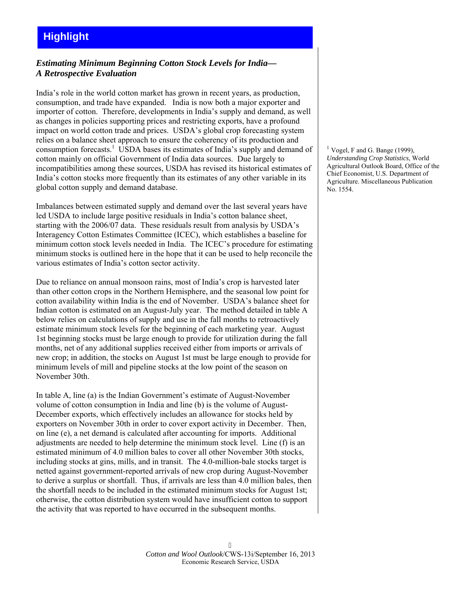# **Highlight**

## *Estimating Minimum Beginning Cotton Stock Levels for India— A Retrospective Evaluation*

India's role in the world cotton market has grown in recent years, as production, consumption, and trade have expanded. India is now both a major exporter and importer of cotton. Therefore, developments in India's supply and demand, as well as changes in policies supporting prices and restricting exports, have a profound impact on world cotton trade and prices. USDA's global crop forecasting system relies on a balance sheet approach to ensure the coherency of its production and consumption forecasts.<sup>1</sup> USDA bases its estimates of India's supply and demand of cotton mainly on official Government of India data sources. Due largely to incompatibilities among these sources, USDA has revised its historical estimates of India's cotton stocks more frequently than its estimates of any other variable in its global cotton supply and demand database.

Imbalances between estimated supply and demand over the last several years have led USDA to include large positive residuals in India's cotton balance sheet, starting with the 2006/07 data. These residuals result from analysis by USDA's Interagency Cotton Estimates Committee (ICEC), which establishes a baseline for minimum cotton stock levels needed in India. The ICEC's procedure for estimating minimum stocks is outlined here in the hope that it can be used to help reconcile the various estimates of India's cotton sector activity.

Due to reliance on annual monsoon rains, most of India's crop is harvested later than other cotton crops in the Northern Hemisphere, and the seasonal low point for cotton availability within India is the end of November. USDA's balance sheet for Indian cotton is estimated on an August-July year. The method detailed in table A below relies on calculations of supply and use in the fall months to retroactively estimate minimum stock levels for the beginning of each marketing year. August 1st beginning stocks must be large enough to provide for utilization during the fall months, net of any additional supplies received either from imports or arrivals of new crop; in addition, the stocks on August 1st must be large enough to provide for minimum levels of mill and pipeline stocks at the low point of the season on November 30th.

In table A, line (a) is the Indian Government's estimate of August-November volume of cotton consumption in India and line (b) is the volume of August-December exports, which effectively includes an allowance for stocks held by exporters on November 30th in order to cover export activity in December. Then, on line (e), a net demand is calculated after accounting for imports. Additional adjustments are needed to help determine the minimum stock level. Line (f) is an estimated minimum of 4.0 million bales to cover all other November 30th stocks, including stocks at gins, mills, and in transit. The 4.0-million-bale stocks target is netted against government-reported arrivals of new crop during August-November to derive a surplus or shortfall. Thus, if arrivals are less than 4.0 million bales, then the shortfall needs to be included in the estimated minimum stocks for August 1st; otherwise, the cotton distribution system would have insufficient cotton to support the activity that was reported to have occurred in the subsequent months.

Vogel, F and G. Bange (1999), *Understanding Crop Statistics*, World Agricultural Outlook Board, Office of the Chief Economist, U.S. Department of Agriculture. Miscellaneous Publication No. 1554.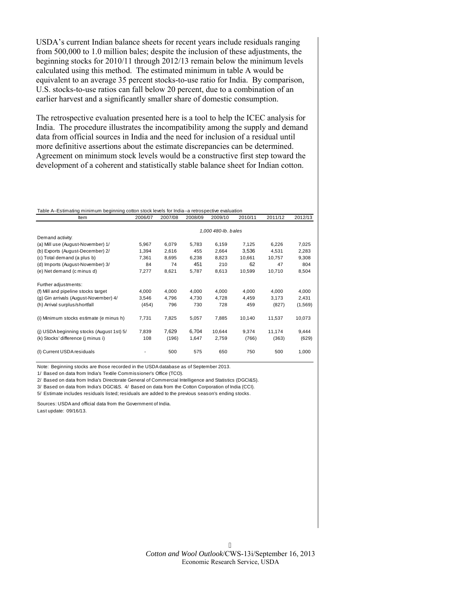USDA's current Indian balance sheets for recent years include residuals ranging from 500,000 to 1.0 million bales; despite the inclusion of these adjustments, the beginning stocks for 2010/11 through 2012/13 remain below the minimum levels calculated using this method. The estimated minimum in table A would be equivalent to an average 35 percent stocks-to-use ratio for India. By comparison, U.S. stocks-to-use ratios can fall below 20 percent, due to a combination of an earlier harvest and a significantly smaller share of domestic consumption.

The retrospective evaluation presented here is a tool to help the ICEC analysis for India. The procedure illustrates the incompatibility among the supply and demand data from official sources in India and the need for inclusion of a residual until more definitive assertions about the estimate discrepancies can be determined. Agreement on minimum stock levels would be a constructive first step toward the development of a coherent and statistically stable balance sheet for Indian cotton.

| Table A--Estimating minimum beginning cotton stock levels for India--a retrospective evaluation |         |         |         |         |         |         |         |  |
|-------------------------------------------------------------------------------------------------|---------|---------|---------|---------|---------|---------|---------|--|
| ltem                                                                                            | 2006/07 | 2007/08 | 2008/09 | 2009/10 | 2010/11 | 2011/12 | 2012/13 |  |

|                                           |       |       |       | 1,000 480-lb. bales |        |        |         |
|-------------------------------------------|-------|-------|-------|---------------------|--------|--------|---------|
| Demand activity:                          |       |       |       |                     |        |        |         |
| (a) Mill use (August-November) 1/         | 5,967 | 6,079 | 5,783 | 6,159               | 7,125  | 6,226  | 7,025   |
| (b) Exports (August-December) 2/          | 1,394 | 2,616 | 455   | 2,664               | 3,536  | 4,531  | 2,283   |
| (c) Total demand (a plus b)               | 7,361 | 8,695 | 6,238 | 8,823               | 10,661 | 10,757 | 9,308   |
| (d) Imports (August-November) 3/          | 84    | 74    | 451   | 210                 | 62     | 47     | 804     |
| (e) Net demand (c minus d)                | 7,277 | 8,621 | 5,787 | 8,613               | 10,599 | 10,710 | 8,504   |
| Further adjustments:                      |       |       |       |                     |        |        |         |
| (f) Mill and pipeline stocks target       | 4,000 | 4,000 | 4,000 | 4,000               | 4,000  | 4,000  | 4,000   |
| (g) Gin arrivals (August-November) 4/     | 3,546 | 4,796 | 4,730 | 4,728               | 4,459  | 3,173  | 2,431   |
| (h) Arrival surplus/shortfall             | (454) | 796   | 730   | 728                 | 459    | (827)  | (1,569) |
| (i) Minimum stocks estimate (e minus h)   | 7,731 | 7,825 | 5,057 | 7,885               | 10,140 | 11,537 | 10,073  |
| (j) USDA beginning stocks (August 1st) 5/ | 7,839 | 7,629 | 6,704 | 10.644              | 9,374  | 11.174 | 9,444   |
| (k) Stocks' difference (j minus i)        | 108   | (196) | 1,647 | 2,759               | (766)  | (363)  | (629)   |
| (I) Current USDA residuals                |       | 500   | 575   | 650                 | 750    | 500    | 1,000   |

Note: Beginning stocks are those recorded in the USDA database as of September 2013.

1/ Based on data from India's Textile Commissioner's Office (TCO).

2/ Based on data from India's Directorate General of Commercial Intelligence and Statistics (DGCI&S).

3/ Based on data from India's DGCI&S. 4/ Based on data from the Cotton Corporation of India (CCI).

5/ Estimate includes residuals listed; residuals are added to the previous season's ending stocks.

Sources: USDA and official data from the Government of India. Last update: 09/16/13.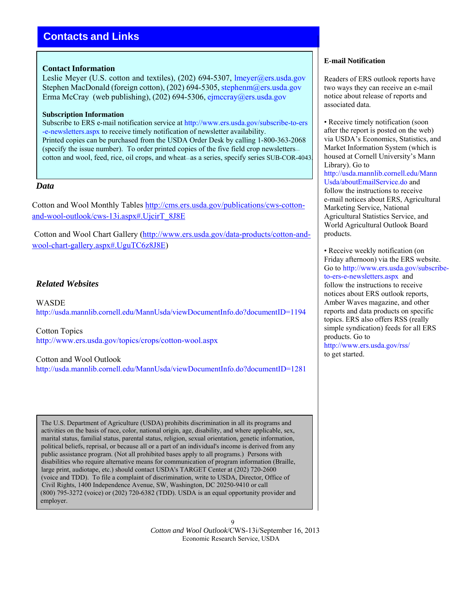# **Contacts and Links**

#### **Contact Information**

Leslie Meyer (U.S. cotton and textiles), (202) 694-5307, lmeyer@ers.usda.gov Stephen MacDonald (foreign cotton), (202) 694-5305, stephenm@ers.usda.gov Erma McCray (web publishing),  $(202)$  694-5306, [ejmccray@ers.usda.gov](mailto:ejmccray@ers.usda.gov)

#### **Subscription Information**

Subscribe to ERS e-mail notification service at [http://www.ers.usda.gov/subscribe-to-ers](http://www.ers.usda.gov/subscribe-to-ers-e-newsletters.aspx) -e-newsletters.aspx to receive timely notification of newsletter availability. Printed copies can be purchased from the USDA Order Desk by calling 1-800-363-2068 (specify the issue number). To order printed copies of the five field crop newsletters cotton and wool, feed, rice, oil crops, and wheat—as a series, specify series SUB-COR-4043.

### *Data*

Cotton and Wool Monthly Tables [http://cms.ers.usda.gov/publications/cws-cotton](http://cms.ers.usda.gov/publications/cws-cotton-and-wool-outlook/cws-13i.aspx#.UjcirT_8J8E)[and-wool-outlook/cws-13i.aspx#.UjcirT\\_8J8E](http://cms.ers.usda.gov/publications/cws-cotton-and-wool-outlook/cws-13i.aspx#.UjcirT_8J8E)

 Cotton and Wool Chart Gallery ([http://www.ers.usda.gov/data-products/cotton-and](http://www.ers.usda.gov/data-products/cotton-and-wool-chart-gallery.aspx#.UguTC6z8J8E)[wool-chart-gallery.aspx#.UguTC6z8J8E\)](http://www.ers.usda.gov/data-products/cotton-and-wool-chart-gallery.aspx#UguTC6z8J8E) 

## *Related Websites*

**WASDE** <http://usda.mannlib.cornell.edu/MannUsda/viewDocumentInfo.do?documentID=1194>

Cotton Topics <http://www.ers.usda.gov/topics/crops/cotton-wool.aspx>

Cotton and Wool Outlook

<http://usda.mannlib.cornell.edu/MannUsda/viewDocumentInfo.do?documentID=1281>

 The U.S. Department of Agriculture (USDA) prohibits discrimination in all its programs and activities on the basis of race, color, national origin, age, disability, and where applicable, sex, marital status, familial status, parental status, religion, sexual orientation, genetic information, political beliefs, reprisal, or because all or a part of an individual's income is derived from any public assistance program. (Not all prohibited bases apply to all programs.) Persons with disabilities who require alternative means for communication of program information (Braille, large print, audiotape, etc.) should contact USDA's TARGET Center at (202) 720-2600 (voice and TDD). To file a complaint of discrimination, write to USDA, Director, Office of Civil Rights, 1400 Independence Avenue, SW, Washington, DC 20250-9410 or call (800) 795-3272 (voice) or (202) 720-6382 (TDD). USDA is an equal opportunity provider and employer.

> 9 *Cotton and Wool Outlook*/CWS-13i/September 16, 2013 Economic Research Service, USDA

#### **E-mail Notification**

Readers of ERS outlook reports have two ways they can receive an e-mail notice about release of reports and associated data.

• Receive timely notification (soon) after the report is posted on the web) via USDA's Economics, Statistics, and Market Information System (which is housed at Cornell University's Mann Library). Go to [http://usda.mannlib.cornell.edu/Mann](http://usda.mannlib.cornell.edu/MannUsda/aboutEmailService.do)  [Usda/aboutEmailService.do](http://usda.mannlib.cornell.edu/MannUsda/aboutEmailService.do) and follow the instructions to receive e-mail notices about ERS, Agricultural Marketing Service, National Agricultural Statistics Service, and World Agricultural Outlook Board products.

• Receive weekly notification (on Friday afternoon) via the ERS website. Go to [http://www.ers.usda.gov/subscribe](http://www.ers.usda.gov/subscribe-to-ers-e-newsletters.aspx)[to-ers-e-newsletters.aspx](http://www.ers.usda.gov/subscribe-to-ers-e-newsletters.aspx) and follow the instructions to receive notices about ERS outlook reports, Amber Waves magazine, and other reports and data products on specific topics. ERS also offers RSS (really simple syndication) feeds for all ERS products. Go to <http://www.ers.usda.gov/rss/>

to get started.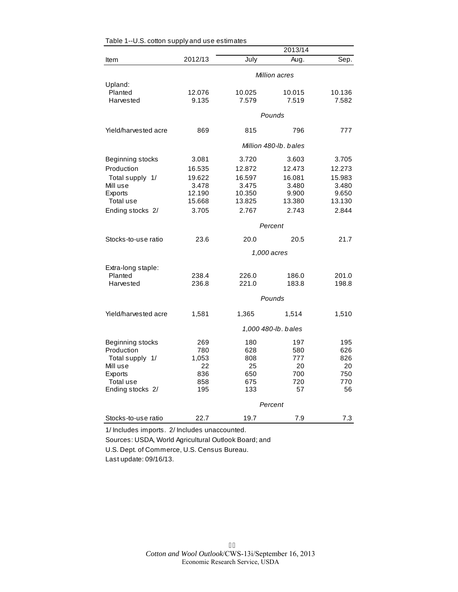|                      |         |        | 2013/14               |        |  |  |
|----------------------|---------|--------|-----------------------|--------|--|--|
| Item                 | 2012/13 | July   | Aug.                  | Sep.   |  |  |
|                      |         |        | Million acres         |        |  |  |
| Upland:              |         |        |                       |        |  |  |
| Planted              | 12.076  | 10.025 | 10.015                | 10.136 |  |  |
| Harvested            | 9.135   | 7.579  | 7.519                 | 7.582  |  |  |
|                      | Pounds  |        |                       |        |  |  |
| Yield/harvested acre | 869     | 815    | 796                   | 777    |  |  |
|                      |         |        | Million 480-lb, bales |        |  |  |
| Beginning stocks     | 3.081   | 3.720  | 3.603                 | 3.705  |  |  |
| Production           | 16.535  | 12.872 | 12.473                | 12.273 |  |  |
| Total supply 1/      | 19.622  | 16.597 | 16.081                | 15.983 |  |  |
| Mill use             | 3.478   | 3.475  | 3.480                 | 3.480  |  |  |
| <b>Exports</b>       | 12.190  | 10.350 | 9.900                 | 9.650  |  |  |
| Total use            | 15.668  | 13.825 | 13.380                | 13.130 |  |  |
| Ending stocks 2/     | 3.705   | 2.767  | 2.743                 | 2.844  |  |  |
|                      | Percent |        |                       |        |  |  |
| Stocks-to-use ratio  | 23.6    | 20.0   | 20.5                  | 21.7   |  |  |
|                      |         |        | 1,000 acres           |        |  |  |
| Extra-long staple:   |         |        |                       |        |  |  |
| Planted              | 238.4   | 226.0  | 186.0                 | 201.0  |  |  |
| Harvested            | 236.8   | 221.0  | 183.8                 | 198.8  |  |  |
|                      |         |        | Pounds                |        |  |  |
| Yield/harvested acre | 1,581   | 1,365  | 1,514                 | 1,510  |  |  |
|                      |         |        | 1,000 480-lb. bales   |        |  |  |
| Beginning stocks     | 269     | 180    | 197                   | 195    |  |  |
| Production           | 780     | 628    | 580                   | 626    |  |  |
| Total supply 1/      | 1,053   | 808    | 777                   | 826    |  |  |
| Mill use             | 22      | 25     | 20                    | 20     |  |  |
| Exports              | 836     | 650    | 700                   | 750    |  |  |
| Total use            | 858     | 675    | 720                   | 770    |  |  |
| Ending stocks 2/     | 195     | 133    | 57                    | 56     |  |  |
|                      |         |        | Percent               |        |  |  |
| Stocks-to-use ratio  | 22.7    | 19.7   | 7.9                   | 7.3    |  |  |

| Table 1--U.S. cotton supply and use estimates |  |  |
|-----------------------------------------------|--|--|
|-----------------------------------------------|--|--|

1/ Includes imports. 2/ Includes unaccounted.

Sources: USDA, World Agricultural Outlook Board; and U.S. Dept. of Commerce, U.S. Census Bureau.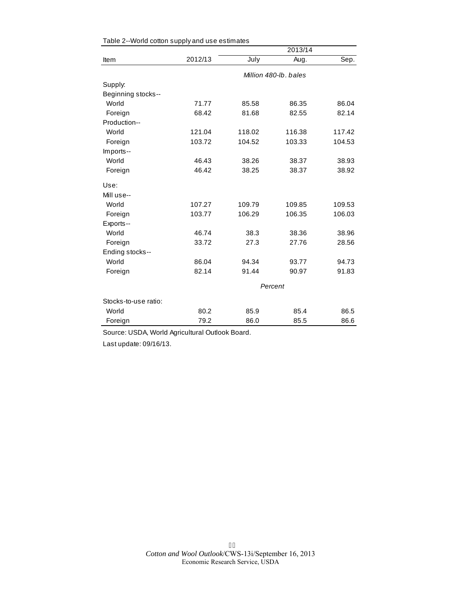|                      |         |                       | 2013/14 |        |  |  |
|----------------------|---------|-----------------------|---------|--------|--|--|
| Item                 | 2012/13 | July                  | Aug.    | Sep.   |  |  |
|                      |         | Million 480-lb, bales |         |        |  |  |
| Supply:              |         |                       |         |        |  |  |
| Beginning stocks--   |         |                       |         |        |  |  |
| World                | 71.77   | 85.58                 | 86.35   | 86.04  |  |  |
| Foreign              | 68.42   | 81.68                 | 82.55   | 82.14  |  |  |
| Production--         |         |                       |         |        |  |  |
| World                | 121.04  | 118.02                | 116.38  | 117.42 |  |  |
| Foreign              | 103.72  | 104.52                | 103.33  | 104.53 |  |  |
| Imports--            |         |                       |         |        |  |  |
| World                | 46.43   | 38.26                 | 38.37   | 38.93  |  |  |
| Foreign              | 46.42   | 38.25                 | 38.37   | 38.92  |  |  |
| Use:                 |         |                       |         |        |  |  |
| Mill use--           |         |                       |         |        |  |  |
| World                | 107.27  | 109.79                | 109.85  | 109.53 |  |  |
| Foreign              | 103.77  | 106.29                | 106.35  | 106.03 |  |  |
| Exports--            |         |                       |         |        |  |  |
| World                | 46.74   | 38.3                  | 38.36   | 38.96  |  |  |
| Foreign              | 33.72   | 27.3                  | 27.76   | 28.56  |  |  |
| Ending stocks--      |         |                       |         |        |  |  |
| World                | 86.04   | 94.34                 | 93.77   | 94.73  |  |  |
| Foreign              | 82.14   | 91.44                 | 90.97   | 91.83  |  |  |
|                      | Percent |                       |         |        |  |  |
| Stocks-to-use ratio: |         |                       |         |        |  |  |
| World                | 80.2    | 85.9                  | 85.4    | 86.5   |  |  |
| Foreign              | 79.2    | 86.0                  | 85.5    | 86.6   |  |  |

|  | Table 2--World cotton supply and use estimates |  |  |  |  |  |
|--|------------------------------------------------|--|--|--|--|--|
|--|------------------------------------------------|--|--|--|--|--|

Source: USDA, World Agricultural Outlook Board.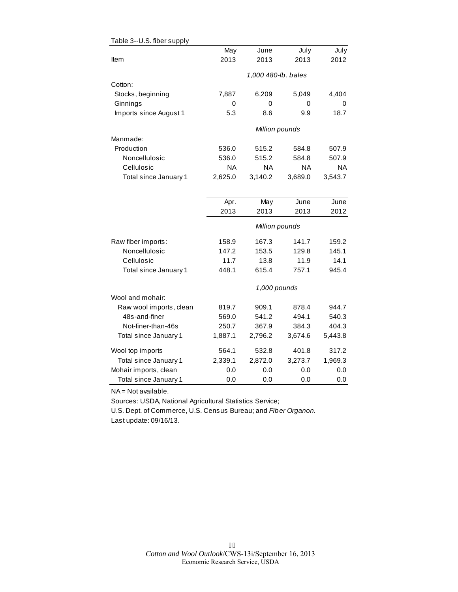|                         | May     | June                | July      | July      |
|-------------------------|---------|---------------------|-----------|-----------|
| Item                    | 2013    | 2013                | 2013      | 2012      |
|                         |         | 1,000 480-lb. bales |           |           |
| Cotton:                 |         |                     |           |           |
| Stocks, beginning       | 7,887   | 6,209               | 5,049     | 4,404     |
| Ginnings                | 0       | 0                   | 0         | 0         |
| Imports since August 1  | 5.3     | 8.6                 | 9.9       | 18.7      |
|                         |         | Million pounds      |           |           |
| Manmade:                |         |                     |           |           |
| Production              | 536.0   | 515.2               | 584.8     | 507.9     |
| Noncellulosic           | 536.0   | 515.2               | 584.8     | 507.9     |
| Cellulosic              | ΝA      | <b>NA</b>           | <b>NA</b> | <b>NA</b> |
| Total since January 1   | 2,625.0 | 3,140.2             | 3,689.0   | 3,543.7   |
|                         |         |                     |           |           |
|                         | Apr.    | May                 | June      | June      |
|                         | 2013    | 2013                | 2013      | 2012      |
|                         |         | Million pounds      |           |           |
| Raw fiber imports:      | 158.9   | 167.3               | 141.7     | 159.2     |
| Noncellulosic           | 147.2   | 153.5               | 129.8     | 145.1     |
| Cellulosic              | 11.7    | 13.8                | 11.9      | 14.1      |
| Total since January 1   | 448.1   | 615.4               | 757.1     | 945.4     |
|                         |         | 1,000 pounds        |           |           |
| Wool and mohair:        |         |                     |           |           |
| Raw wool imports, clean | 819.7   | 909.1               | 878.4     | 944.7     |
| 48s-and-finer           | 569.0   | 541.2               | 494.1     | 540.3     |
| Not-finer-than-46s      | 250.7   | 367.9               | 384.3     | 404.3     |
| Total since January 1   | 1,887.1 | 2,796.2             | 3,674.6   | 5,443.8   |
| Wool top imports        | 564.1   | 532.8               | 401.8     | 317.2     |
| Total since January 1   | 2,339.1 | 2,872.0             | 3,273.7   | 1,969.3   |
| Mohair imports, clean   | 0.0     | 0.0                 | 0.0       | 0.0       |
| Total since January 1   | 0.0     | 0.0                 | 0.0       | 0.0       |

| Table 3--U.S. fiber supply |  |  |
|----------------------------|--|--|
|----------------------------|--|--|

NA = Not available.

Sources: USDA, National Agricultural Statistics Service;

U.S. Dept. of Commerce, U.S. Census Bureau; and *Fiber Organon.* Last update: 09/16/13.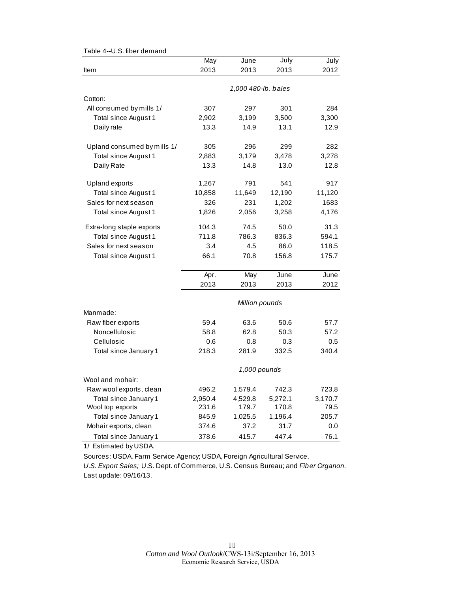| 0.0. 11001 001110110        |         |                     |         |         |
|-----------------------------|---------|---------------------|---------|---------|
|                             | May     | June                | July    | July    |
| Item                        | 2013    | 2013                | 2013    | 2012    |
|                             |         |                     |         |         |
|                             |         | 1,000 480-lb. bales |         |         |
| Cotton:                     |         |                     |         |         |
| All consumed by mills 1/    | 307     | 297                 | 301     | 284     |
| Total since August 1        | 2,902   | 3,199               | 3,500   | 3,300   |
| Daily rate                  | 13.3    | 14.9                | 13.1    | 12.9    |
| Upland consumed by mills 1/ | 305     | 296                 | 299     | 282     |
| Total since August 1        | 2,883   | 3,179               | 3,478   | 3,278   |
| Daily Rate                  | 13.3    | 14.8                | 13.0    | 12.8    |
| Upland exports              | 1,267   | 791                 | 541     | 917     |
| <b>Total since August 1</b> | 10,858  | 11,649              | 12,190  | 11,120  |
| Sales for next season       | 326     | 231                 | 1,202   | 1683    |
| Total since August 1        | 1,826   | 2,056               | 3,258   | 4,176   |
| Extra-long staple exports   | 104.3   | 74.5                | 50.0    | 31.3    |
| Total since August 1        | 711.8   | 786.3               | 836.3   | 594.1   |
| Sales for next season       | 3.4     | 4.5                 | 86.0    | 118.5   |
| Total since August 1        | 66.1    | 70.8                | 156.8   | 175.7   |
|                             | Apr.    | May                 | June    | June    |
|                             | 2013    | 2013                | 2013    | 2012    |
|                             |         | Million pounds      |         |         |
| Manmade:                    |         |                     |         |         |
| Raw fiber exports           | 59.4    | 63.6                | 50.6    | 57.7    |
| Noncellulosic               | 58.8    | 62.8                | 50.3    | 57.2    |
| Cellulosic                  | 0.6     | 0.8                 | 0.3     | 0.5     |
| Total since January 1       | 218.3   | 281.9               | 332.5   | 340.4   |
|                             |         | 1,000 pounds        |         |         |
| Wool and mohair:            |         |                     |         |         |
| Raw wool exports, clean     | 496.2   | 1,579.4             | 742.3   | 723.8   |
| Total since January 1       | 2,950.4 | 4,529.8             | 5,272.1 | 3,170.7 |
| Wool top exports            | 231.6   | 179.7               | 170.8   | 79.5    |
| Total since January 1       | 845.9   | 1,025.5             | 1,196.4 | 205.7   |
| Mohair exports, clean       | 374.6   | 37.2                | 31.7    | 0.0     |
| Total since January 1       | 378.6   | 415.7               | 447.4   | 76.1    |

Table 4--U.S. fiber demand

1/ Estimated by USDA.

Sources: USDA, Farm Service Agency; USDA, Foreign Agricultural Service,

*U.S. Export Sales;* U.S. Dept. of Commerce, U.S. Census Bureau; and *Fiber Organon.* Last update: 09/16/13.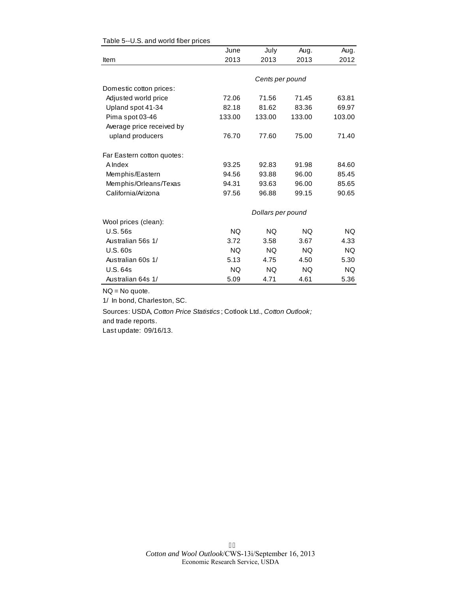|                            | June      | July              | Aug.      | Aug.      |
|----------------------------|-----------|-------------------|-----------|-----------|
| Item                       | 2013      | 2013              | 2013      | 2012      |
|                            |           |                   |           |           |
|                            |           | Cents per pound   |           |           |
| Domestic cotton prices:    |           |                   |           |           |
| Adjusted world price       | 72.06     | 71.56             | 71.45     | 63.81     |
| Upland spot 41-34          | 82.18     | 81.62             | 83.36     | 69.97     |
| Pima spot 03-46            | 133.00    | 133.00            | 133.00    | 103.00    |
| Average price received by  |           |                   |           |           |
| upland producers           | 76.70     | 77.60             | 75.00     | 71.40     |
| Far Eastern cotton quotes: |           |                   |           |           |
| A Index                    | 93.25     | 92.83             | 91.98     | 84.60     |
| Memphis/Eastern            | 94.56     | 93.88             | 96.00     | 85.45     |
| Memphis/Orleans/Texas      | 94.31     | 93.63             | 96.00     | 85.65     |
| California/Arizona         | 97.56     | 96.88             | 99.15     | 90.65     |
|                            |           | Dollars per pound |           |           |
| Wool prices (clean):       |           |                   |           |           |
| <b>U.S. 56s</b>            | <b>NQ</b> | <b>NQ</b>         | <b>NQ</b> | <b>NQ</b> |
| Australian 56s 1/          | 3.72      | 3.58              | 3.67      | 4.33      |
| U.S.60s                    | <b>NQ</b> | NQ.               | NQ.       | <b>NQ</b> |
| Australian 60s 1/          | 5.13      | 4.75              | 4.50      | 5.30      |
| <b>U.S. 64s</b>            | <b>NQ</b> | <b>NQ</b>         | NQ.       | <b>NQ</b> |
| Australian 64s 1/          | 5.09      | 4.71              | 4.61      | 5.36      |

#### Table 5--U.S. and world fiber prices

NQ = No quote.

1/ In bond, Charleston, SC.

Sources: USDA, *Cotton Price Statistics* ; Cotlook Ltd., *Cotton Outlook;*  and trade reports.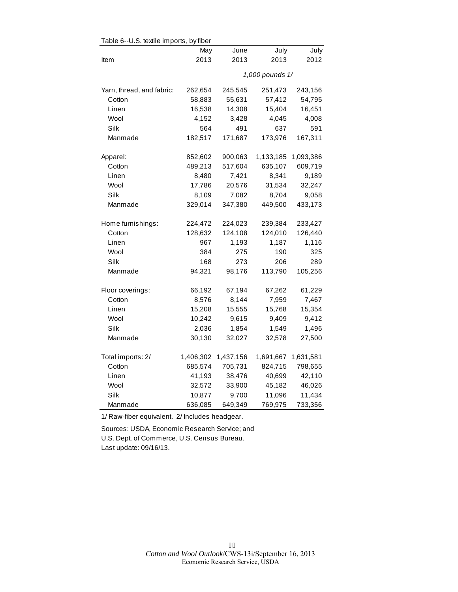| Table 6--U.S. textile imports, by fiber |           |                 |           |           |  |  |
|-----------------------------------------|-----------|-----------------|-----------|-----------|--|--|
|                                         | May       | June            | July      | July      |  |  |
| Item                                    | 2013      | 2013            | 2013      | 2012      |  |  |
|                                         |           | 1,000 pounds 1/ |           |           |  |  |
| Yarn, thread, and fabric:               | 262,654   | 245,545         | 251,473   | 243,156   |  |  |
| Cotton                                  | 58,883    | 55,631          | 57,412    | 54,795    |  |  |
| Linen                                   | 16,538    | 14,308          | 15,404    | 16,451    |  |  |
| Wool                                    | 4,152     | 3,428           | 4,045     | 4,008     |  |  |
| Silk                                    | 564       | 491             | 637       | 591       |  |  |
| Manmade                                 | 182,517   | 171,687         | 173,976   | 167,311   |  |  |
| Apparel:                                | 852,602   | 900,063         | 1,133,185 | 1,093,386 |  |  |
| Cotton                                  | 489,213   | 517,604         | 635,107   | 609,719   |  |  |
| Linen                                   | 8,480     | 7,421           | 8,341     | 9,189     |  |  |
| Wool                                    | 17,786    | 20,576          | 31,534    | 32,247    |  |  |
| Silk                                    | 8,109     | 7,082           | 8,704     | 9,058     |  |  |
| Manmade                                 | 329,014   | 347,380         | 449,500   | 433,173   |  |  |
| Home furnishings:                       | 224,472   | 224,023         | 239,384   | 233,427   |  |  |
| Cotton                                  | 128,632   | 124,108         | 124,010   | 126,440   |  |  |
| Linen                                   | 967       | 1,193           | 1,187     | 1,116     |  |  |
| Wool                                    | 384       | 275             | 190       | 325       |  |  |
| Silk                                    | 168       | 273             | 206       | 289       |  |  |
| Manmade                                 | 94,321    | 98,176          | 113,790   | 105,256   |  |  |
| Floor coverings:                        | 66,192    | 67,194          | 67,262    | 61,229    |  |  |
| Cotton                                  | 8,576     | 8,144           | 7,959     | 7,467     |  |  |
| Linen                                   | 15,208    | 15,555          | 15,768    | 15,354    |  |  |
| Wool                                    | 10,242    | 9,615           | 9,409     | 9,412     |  |  |
| Silk                                    | 2,036     | 1,854           | 1,549     | 1,496     |  |  |
| Manmade                                 | 30,130    | 32,027          | 32,578    | 27,500    |  |  |
| Total imports: 2/                       | 1,406,302 | 1,437,156       | 1,691,667 | 1,631,581 |  |  |
| Cotton                                  | 685,574   | 705,731         | 824,715   | 798,655   |  |  |
| Linen                                   | 41,193    | 38,476          | 40,699    | 42,110    |  |  |
| Wool                                    | 32,572    | 33,900          | 45,182    | 46,026    |  |  |
| Silk                                    | 10,877    | 9,700           | 11,096    | 11,434    |  |  |
| Manmade                                 | 636,085   | 649,349         | 769,975   | 733,356   |  |  |

 $Table 6-11$ S. toxtilo imports, by fib

1/ Raw-fiber equivalent. 2/ Includes headgear.

Sources: USDA, Economic Research Service; and U.S. Dept. of Commerce, U.S. Census Bureau. Last update: 09/16/13.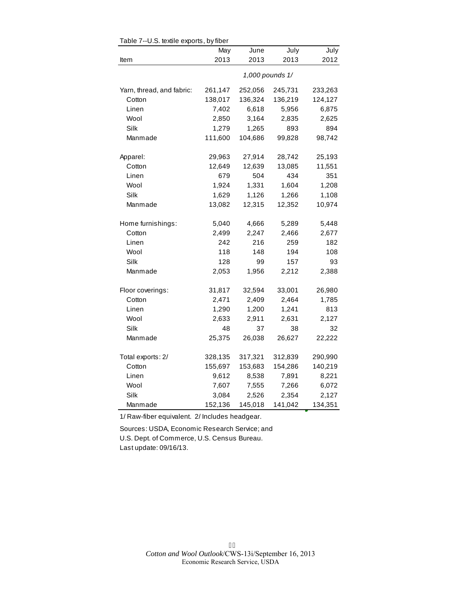|                           | May             | June    | July    | July    |  |  |  |
|---------------------------|-----------------|---------|---------|---------|--|--|--|
| Item                      | 2013            | 2013    | 2013    | 2012    |  |  |  |
|                           | 1,000 pounds 1/ |         |         |         |  |  |  |
| Yarn, thread, and fabric: | 261,147         | 252,056 | 245,731 | 233,263 |  |  |  |
| Cotton                    | 138,017         | 136,324 | 136,219 | 124,127 |  |  |  |
| Linen                     | 7,402           | 6,618   | 5,956   | 6,875   |  |  |  |
| Wool                      | 2,850           | 3,164   | 2,835   | 2,625   |  |  |  |
| Silk                      | 1,279           | 1,265   | 893     | 894     |  |  |  |
| Manmade                   | 111,600         | 104,686 | 99,828  | 98,742  |  |  |  |
| Apparel:                  | 29,963          | 27,914  | 28,742  | 25,193  |  |  |  |
| Cotton                    | 12,649          | 12,639  | 13,085  | 11,551  |  |  |  |
| Linen                     | 679             | 504     | 434     | 351     |  |  |  |
| Wool                      | 1,924           | 1,331   | 1,604   | 1,208   |  |  |  |
| Silk                      | 1,629           | 1,126   | 1,266   | 1,108   |  |  |  |
| Manmade                   | 13,082          | 12,315  | 12,352  | 10,974  |  |  |  |
| Home furnishings:         | 5,040           | 4,666   | 5,289   | 5,448   |  |  |  |
| Cotton                    | 2,499           | 2,247   | 2,466   | 2,677   |  |  |  |
| Linen                     | 242             | 216     | 259     | 182     |  |  |  |
| Wool                      | 118             | 148     | 194     | 108     |  |  |  |
| Silk                      | 128             | 99      | 157     | 93      |  |  |  |
| Manmade                   | 2,053           | 1,956   | 2,212   | 2,388   |  |  |  |
| Floor coverings:          | 31,817          | 32,594  | 33,001  | 26,980  |  |  |  |
| Cotton                    | 2,471           | 2,409   | 2,464   | 1,785   |  |  |  |
| Linen                     | 1,290           | 1,200   | 1,241   | 813     |  |  |  |
| Wool                      | 2,633           | 2,911   | 2,631   | 2,127   |  |  |  |
| Silk                      | 48              | 37      | 38      | 32      |  |  |  |
| Manmade                   | 25,375          | 26,038  | 26,627  | 22,222  |  |  |  |
| Total exports: 2/         | 328,135         | 317,321 | 312,839 | 290,990 |  |  |  |
| Cotton                    | 155,697         | 153,683 | 154,286 | 140,219 |  |  |  |
| Linen                     | 9,612           | 8,538   | 7,891   | 8,221   |  |  |  |
| Wool                      | 7,607           | 7,555   | 7,266   | 6,072   |  |  |  |
| Silk                      | 3,084           | 2,526   | 2,354   | 2,127   |  |  |  |
| Manmade                   | 152,136         | 145,018 | 141,042 | 134,351 |  |  |  |

Table 7--U.S. textile exports, by fiber

1/ Raw-fiber equivalent. 2/ Includes headgear.

Sources: USDA, Economic Research Service; and U.S. Dept. of Commerce, U.S. Census Bureau. Last update: 09/16/13.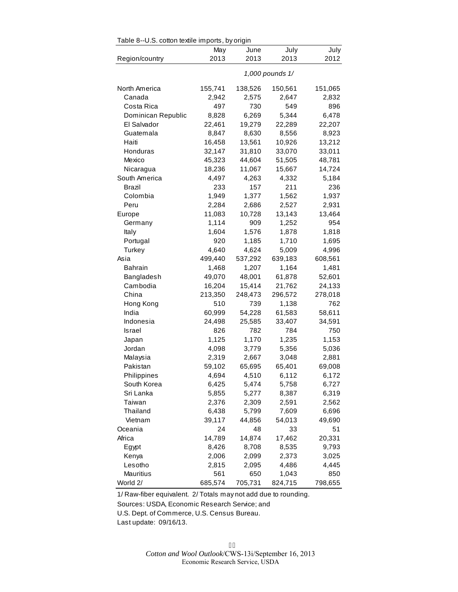| Table 8--U.S. cotton textile imports, by origin |                 |         |         |         |  |  |  |  |  |
|-------------------------------------------------|-----------------|---------|---------|---------|--|--|--|--|--|
|                                                 | May             | June    | July    | July    |  |  |  |  |  |
| Region/country                                  | 2013            | 2013    | 2013    | 2012    |  |  |  |  |  |
|                                                 | 1,000 pounds 1/ |         |         |         |  |  |  |  |  |
| North America                                   | 155,741         | 138,526 | 150,561 | 151,065 |  |  |  |  |  |
| Canada                                          | 2,942           | 2,575   | 2,647   | 2,832   |  |  |  |  |  |
| Costa Rica                                      | 497             | 730     | 549     | 896     |  |  |  |  |  |
| Dominican Republic                              | 8,828           | 6,269   | 5,344   | 6,478   |  |  |  |  |  |
| El Salvador                                     | 22,461          | 19,279  | 22,289  | 22,207  |  |  |  |  |  |
| Guatemala                                       | 8,847           | 8,630   | 8,556   | 8,923   |  |  |  |  |  |
| Haiti                                           | 16,458          | 13,561  | 10,926  | 13,212  |  |  |  |  |  |
| Honduras                                        | 32,147          | 31,810  | 33,070  | 33,011  |  |  |  |  |  |
| Mexico                                          | 45,323          | 44,604  | 51,505  | 48,781  |  |  |  |  |  |
| Nicaragua                                       | 18,236          | 11,067  | 15,667  | 14,724  |  |  |  |  |  |
| South America                                   | 4,497           | 4,263   | 4,332   | 5,184   |  |  |  |  |  |
| Brazil                                          | 233             | 157     | 211     | 236     |  |  |  |  |  |
| Colombia                                        | 1,949           | 1,377   | 1,562   | 1,937   |  |  |  |  |  |
| Peru                                            | 2,284           | 2,686   | 2,527   | 2,931   |  |  |  |  |  |
| Europe                                          | 11,083          | 10,728  | 13,143  | 13,464  |  |  |  |  |  |
| Germany                                         | 1,114           | 909     | 1,252   | 954     |  |  |  |  |  |
| Italy                                           | 1,604           | 1,576   | 1,878   | 1,818   |  |  |  |  |  |
| Portugal                                        | 920             | 1,185   | 1,710   | 1,695   |  |  |  |  |  |
| Turkey                                          | 4,640           | 4,624   | 5,009   | 4,996   |  |  |  |  |  |
| Asia                                            | 499,440         | 537,292 | 639,183 | 608,561 |  |  |  |  |  |
| <b>Bahrain</b>                                  | 1,468           | 1,207   | 1,164   | 1,481   |  |  |  |  |  |
| Bangladesh                                      | 49,070          | 48,001  | 61,878  | 52,601  |  |  |  |  |  |
| Cambodia                                        | 16,204          | 15,414  | 21,762  | 24,133  |  |  |  |  |  |
| China                                           | 213,350         | 248,473 | 296,572 | 278,018 |  |  |  |  |  |
| Hong Kong                                       | 510             | 739     | 1,138   | 762     |  |  |  |  |  |
| India                                           | 60,999          | 54,228  | 61,583  | 58,611  |  |  |  |  |  |
| Indonesia                                       | 24,498          | 25,585  | 33,407  | 34,591  |  |  |  |  |  |
| Israel                                          | 826             | 782     | 784     | 750     |  |  |  |  |  |
| Japan                                           | 1,125           | 1,170   | 1,235   | 1,153   |  |  |  |  |  |
| Jordan                                          | 4,098           | 3,779   | 5,356   | 5,036   |  |  |  |  |  |
| Malaysia                                        | 2,319           | 2,667   | 3,048   | 2,881   |  |  |  |  |  |
| Pakistan                                        | 59,102          | 65,695  | 65,401  | 69,008  |  |  |  |  |  |
| Philippines                                     | 4,694           | 4,510   | 6,112   | 6,172   |  |  |  |  |  |
| South Korea                                     | 6,425           | 5,474   | 5,758   | 6,727   |  |  |  |  |  |
| Sri Lanka                                       | 5,855           | 5,277   | 8,387   | 6,319   |  |  |  |  |  |
| Taiwan                                          | 2,376           | 2,309   | 2,591   | 2,562   |  |  |  |  |  |
| Thailand                                        | 6,438           | 5,799   | 7,609   | 6,696   |  |  |  |  |  |
| Vietnam                                         | 39,117          | 44,856  | 54,013  | 49,690  |  |  |  |  |  |
| Oceania                                         | 24              | 48      | 33      | 51      |  |  |  |  |  |
| Africa                                          | 14,789          | 14,874  | 17,462  | 20,331  |  |  |  |  |  |
| Egypt                                           | 8,426           | 8,708   | 8,535   | 9,793   |  |  |  |  |  |
| Kenya                                           | 2,006           | 2,099   | 2,373   | 3,025   |  |  |  |  |  |
| Lesotho                                         | 2,815           | 2,095   | 4,486   | 4,445   |  |  |  |  |  |
| Mauritius                                       | 561             | 650     | 1,043   | 850     |  |  |  |  |  |
| World 2/                                        | 685,574         | 705,731 | 824,715 | 798,655 |  |  |  |  |  |

 $\frac{1}{2}$  able 8 - U.S. cotton textile imports, by original

1/ Raw-fiber equivalent. 2/ Totals may not add due to rounding.

Sources: USDA, Economic Research Service; and

U.S. Dept. of Commerce, U.S. Census Bureau.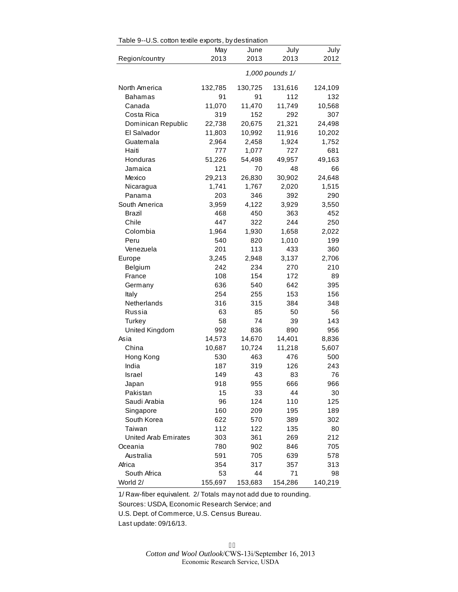| Table 9--U.S. cotton textile exports, by destination |                 |         |         |         |  |  |  |  |  |
|------------------------------------------------------|-----------------|---------|---------|---------|--|--|--|--|--|
|                                                      | May             | June    | July    | July    |  |  |  |  |  |
| Region/country                                       | 2013            | 2013    | 2013    | 2012    |  |  |  |  |  |
|                                                      | 1,000 pounds 1/ |         |         |         |  |  |  |  |  |
| North America                                        | 132,785         | 130,725 | 131,616 | 124,109 |  |  |  |  |  |
| <b>Bahamas</b>                                       | 91              | 91      | 112     | 132     |  |  |  |  |  |
| Canada                                               | 11,070          | 11,470  | 11,749  | 10,568  |  |  |  |  |  |
| Costa Rica                                           | 319             | 152     | 292     | 307     |  |  |  |  |  |
| Dominican Republic                                   | 22,738          | 20,675  | 21,321  | 24,498  |  |  |  |  |  |
| El Salvador                                          | 11,803          | 10,992  | 11,916  | 10,202  |  |  |  |  |  |
| Guatemala                                            | 2,964           | 2,458   | 1,924   | 1,752   |  |  |  |  |  |
| Haiti                                                | 777             | 1,077   | 727     | 681     |  |  |  |  |  |
| Honduras                                             | 51,226          | 54,498  | 49,957  | 49,163  |  |  |  |  |  |
| Jamaica                                              | 121             | 70      | 48      | 66      |  |  |  |  |  |
| Mexico                                               | 29,213          | 26,830  | 30,902  | 24,648  |  |  |  |  |  |
| Nicaragua                                            | 1,741           | 1,767   | 2,020   | 1,515   |  |  |  |  |  |
| Panama                                               | 203             | 346     | 392     | 290     |  |  |  |  |  |
| South America                                        | 3,959           | 4,122   | 3,929   | 3,550   |  |  |  |  |  |
| Brazil                                               | 468             | 450     | 363     | 452     |  |  |  |  |  |
| Chile                                                | 447             | 322     | 244     | 250     |  |  |  |  |  |
| Colombia                                             | 1,964           | 1,930   | 1,658   | 2,022   |  |  |  |  |  |
| Peru                                                 | 540             | 820     | 1,010   | 199     |  |  |  |  |  |
| Venezuela                                            | 201             | 113     | 433     | 360     |  |  |  |  |  |
| Europe                                               | 3,245           | 2,948   | 3,137   | 2,706   |  |  |  |  |  |
| Belgium                                              | 242             | 234     | 270     | 210     |  |  |  |  |  |
| France                                               | 108             | 154     | 172     | 89      |  |  |  |  |  |
| Germany                                              | 636             | 540     | 642     | 395     |  |  |  |  |  |
| Italy                                                | 254             | 255     | 153     | 156     |  |  |  |  |  |
| Netherlands                                          | 316             | 315     | 384     | 348     |  |  |  |  |  |
| Russia                                               | 63              | 85      | 50      | 56      |  |  |  |  |  |
| Turkey                                               | 58              | 74      | 39      | 143     |  |  |  |  |  |
| United Kingdom                                       | 992             | 836     | 890     | 956     |  |  |  |  |  |
| Asia                                                 | 14,573          | 14,670  | 14,401  | 8,836   |  |  |  |  |  |
| China                                                | 10,687          | 10,724  | 11,218  | 5,607   |  |  |  |  |  |
| Hong Kong                                            | 530             | 463     | 476     | 500     |  |  |  |  |  |
| India                                                | 187             | 319     | 126     | 243     |  |  |  |  |  |
| Israel                                               | 149             | 43      | 83      | 76      |  |  |  |  |  |
| Japan                                                | 918             | 955     | 666     | 966     |  |  |  |  |  |
| Pakistan                                             | 15              | 33      | 44      | 30      |  |  |  |  |  |
| Saudi Arabia                                         | 96              | 124     | 110     | 125     |  |  |  |  |  |
| Singapore                                            | 160             | 209     | 195     | 189     |  |  |  |  |  |
| South Korea                                          | 622             | 570     | 389     | 302     |  |  |  |  |  |
| Taiwan                                               | 112             | 122     | 135     | 80      |  |  |  |  |  |
| United Arab Emirates                                 | 303             | 361     | 269     | 212     |  |  |  |  |  |
| Oceania                                              | 780             | 902     | 846     | 705     |  |  |  |  |  |
| Australia                                            | 591             | 705     | 639     | 578     |  |  |  |  |  |
| Africa                                               | 354             | 317     | 357     | 313     |  |  |  |  |  |
| South Africa                                         | 53              | 44      | 71      | 98      |  |  |  |  |  |
| World 2/                                             | 155,697         | 153,683 | 154,286 | 140,219 |  |  |  |  |  |

Table 9--U.S. cotton textile exports, by destination

1/ Raw-fiber equivalent. 2/ Totals may not add due to rounding.

Sources: USDA, Economic Research Service; and

U.S. Dept. of Commerce, U.S. Census Bureau.